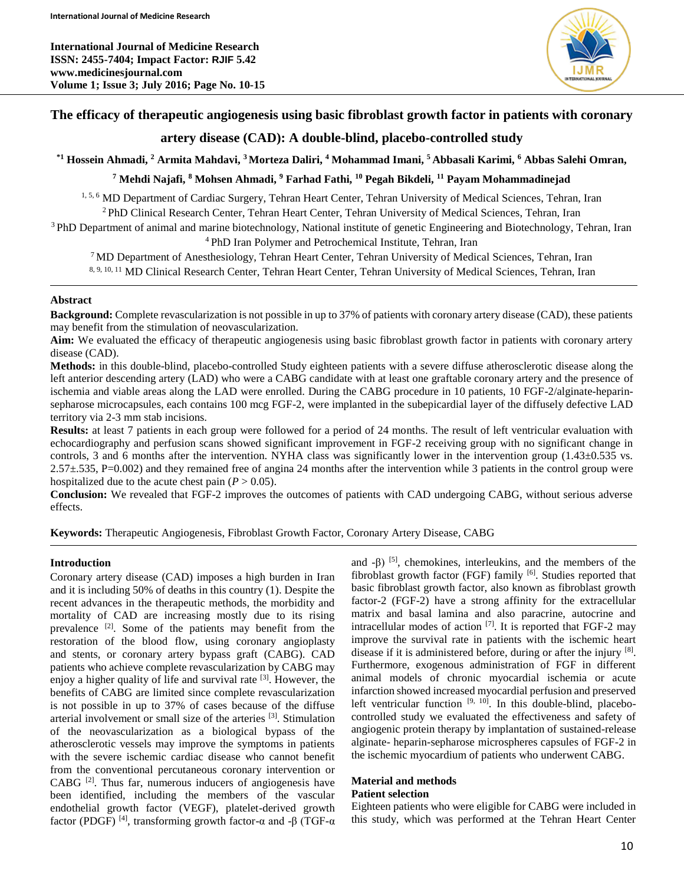**International Journal of Medicine Research ISSN: 2455-7404; Impact Factor: RJIF 5.42 www.medicinesjournal.com Volume 1; Issue 3; July 2016; Page No. 10-15**



## **The efficacy of therapeutic angiogenesis using basic fibroblast growth factor in patients with coronary**

# **artery disease (CAD): A double-blind, placebo-controlled study**

**\*1 Hossein Ahmadi, <sup>2</sup> Armita Mahdavi, <sup>3</sup>Morteza Daliri, <sup>4</sup> Mohammad Imani, <sup>5</sup> Abbasali Karimi, <sup>6</sup> Abbas Salehi Omran,**

**<sup>7</sup> Mehdi Najafi, <sup>8</sup> Mohsen Ahmadi, <sup>9</sup> Farhad Fathi, <sup>10</sup> Pegah Bikdeli, <sup>11</sup> Payam Mohammadinejad**

1, 5, 6 MD Department of Cardiac Surgery, Tehran Heart Center, Tehran University of Medical Sciences, Tehran, Iran <sup>2</sup>PhD Clinical Research Center, Tehran Heart Center, Tehran University of Medical Sciences, Tehran, Iran

<sup>3</sup>PhD Department of animal and marine biotechnology, National institute of genetic Engineering and Biotechnology, Tehran, Iran <sup>4</sup>PhD Iran Polymer and Petrochemical Institute, Tehran, Iran

<sup>7</sup>MD Department of Anesthesiology, Tehran Heart Center, Tehran University of Medical Sciences, Tehran, Iran 8, 9, 10, 11 MD Clinical Research Center, Tehran Heart Center, Tehran University of Medical Sciences, Tehran, Iran

#### **Abstract**

**Background:** Complete revascularization is not possible in up to 37% of patients with coronary artery disease (CAD), these patients may benefit from the stimulation of neovascularization.

**Aim:** We evaluated the efficacy of therapeutic angiogenesis using basic fibroblast growth factor in patients with coronary artery disease (CAD).

**Methods:** in this double-blind, placebo-controlled Study eighteen patients with a severe diffuse atherosclerotic disease along the left anterior descending artery (LAD) who were a CABG candidate with at least one graftable coronary artery and the presence of ischemia and viable areas along the LAD were enrolled. During the CABG procedure in 10 patients, 10 FGF-2/alginate-heparinsepharose microcapsules, each contains 100 mcg FGF-2, were implanted in the subepicardial layer of the diffusely defective LAD territory via 2-3 mm stab incisions.

**Results:** at least 7 patients in each group were followed for a period of 24 months. The result of left ventricular evaluation with echocardiography and perfusion scans showed significant improvement in FGF-2 receiving group with no significant change in controls, 3 and 6 months after the intervention. NYHA class was significantly lower in the intervention group (1.43±0.535 vs. 2.57±.535, P=0.002) and they remained free of angina 24 months after the intervention while 3 patients in the control group were hospitalized due to the acute chest pain  $(P > 0.05)$ .

**Conclusion:** We revealed that FGF-2 improves the outcomes of patients with CAD undergoing CABG, without serious adverse effects.

**Keywords:** Therapeutic Angiogenesis, Fibroblast Growth Factor, Coronary Artery Disease, CABG

## **Introduction**

Coronary artery disease (CAD) imposes a high burden in Iran and it is including 50% of deaths in this country (1). Despite the recent advances in the therapeutic methods, the morbidity and mortality of CAD are increasing mostly due to its rising prevalence [2]. Some of the patients may benefit from the restoration of the blood flow, using coronary angioplasty and stents, or coronary artery bypass graft (CABG). CAD patients who achieve complete revascularization by CABG may enjoy a higher quality of life and survival rate <sup>[3]</sup>. However, the benefits of CABG are limited since complete revascularization is not possible in up to 37% of cases because of the diffuse arterial involvement or small size of the arteries [3]. Stimulation of the neovascularization as a biological bypass of the atherosclerotic vessels may improve the symptoms in patients with the severe ischemic cardiac disease who cannot benefit from the conventional percutaneous coronary intervention or  $CABG$ <sup>[2]</sup>. Thus far, numerous inducers of angiogenesis have been identified, including the members of the vascular endothelial growth factor (VEGF), platelet-derived growth factor (PDGF) [4], transforming growth factor-α and -β (TGF-α

and  $-6$ ) [5], chemokines, interleukins, and the members of the fibroblast growth factor (FGF) family  $[6]$ . Studies reported that basic fibroblast growth factor, also known as fibroblast growth factor-2 (FGF-2) have a strong affinity for the extracellular matrix and basal lamina and also paracrine, autocrine and intracellular modes of action [7]. It is reported that FGF-2 may improve the survival rate in patients with the ischemic heart disease if it is administered before, during or after the injury [8]. Furthermore, exogenous administration of FGF in different animal models of chronic myocardial ischemia or acute infarction showed increased myocardial perfusion and preserved left ventricular function  $[9, 10]$ . In this double-blind, placebocontrolled study we evaluated the effectiveness and safety of angiogenic protein therapy by implantation of sustained-release alginate- heparin-sepharose microspheres capsules of FGF-2 in the ischemic myocardium of patients who underwent CABG.

# **Material and methods**

#### **Patient selection**

Eighteen patients who were eligible for CABG were included in this study, which was performed at the Tehran Heart Center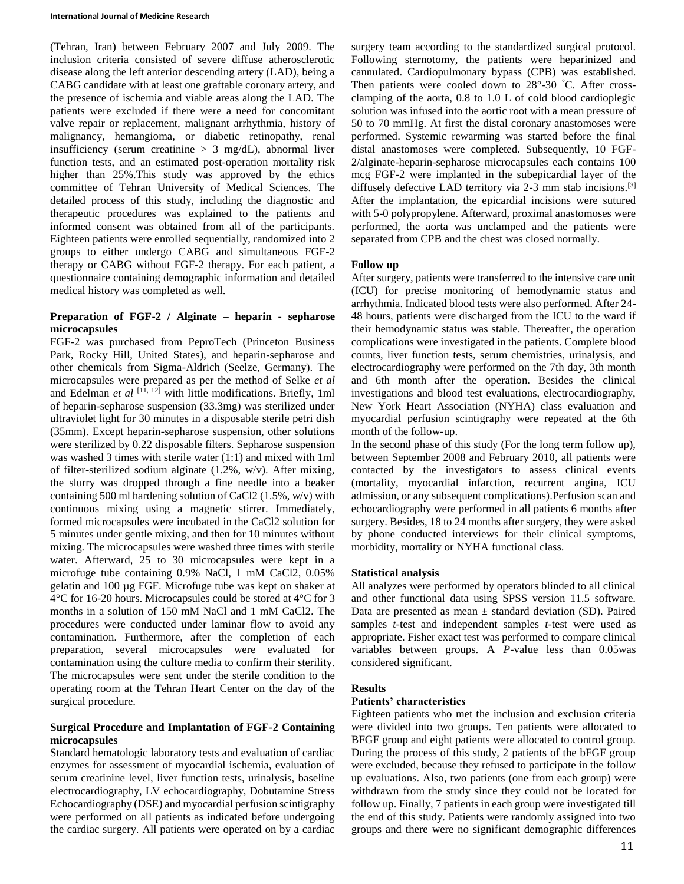(Tehran, Iran) between February 2007 and July 2009. The inclusion criteria consisted of severe diffuse atherosclerotic disease along the left anterior descending artery (LAD), being a CABG candidate with at least one graftable coronary artery, and the presence of ischemia and viable areas along the LAD. The patients were excluded if there were a need for concomitant valve repair or replacement, malignant arrhythmia, history of malignancy, hemangioma, or diabetic retinopathy, renal insufficiency (serum creatinine  $> 3$  mg/dL), abnormal liver function tests, and an estimated post-operation mortality risk higher than 25%.This study was approved by the ethics committee of Tehran University of Medical Sciences. The detailed process of this study, including the diagnostic and therapeutic procedures was explained to the patients and informed consent was obtained from all of the participants. Eighteen patients were enrolled sequentially, randomized into 2 groups to either undergo CABG and simultaneous FGF-2 therapy or CABG without FGF-2 therapy. For each patient, a questionnaire containing demographic information and detailed medical history was completed as well.

## **Preparation of FGF-2 / Alginate – heparin - sepharose microcapsules**

FGF-2 was purchased from PeproTech (Princeton Business Park, Rocky Hill, United States), and heparin-sepharose and other chemicals from Sigma-Aldrich (Seelze, Germany). The microcapsules were prepared as per the method of Selke *et al* and Edelman *et al* <sup>[11, 12]</sup> with little modifications. Briefly, 1ml of heparin-sepharose suspension (33.3mg) was sterilized under ultraviolet light for 30 minutes in a disposable sterile petri dish (35mm). Except heparin-sepharose suspension, other solutions were sterilized by 0.22 disposable filters. Sepharose suspension was washed 3 times with sterile water (1:1) and mixed with 1ml of filter-sterilized sodium alginate (1.2%, w/v). After mixing, the slurry was dropped through a fine needle into a beaker containing 500 ml hardening solution of CaCl2 (1.5%, w/v) with continuous mixing using a magnetic stirrer. Immediately, formed microcapsules were incubated in the CaCl2 solution for 5 minutes under gentle mixing, and then for 10 minutes without mixing. The microcapsules were washed three times with sterile water. Afterward, 25 to 30 microcapsules were kept in a microfuge tube containing 0.9% NaCl, 1 mM CaCl2, 0.05% gelatin and 100 µg FGF. Microfuge tube was kept on shaker at 4°C for 16-20 hours. Microcapsules could be stored at 4°C for 3 months in a solution of 150 mM NaCl and 1 mM CaCl2. The procedures were conducted under laminar flow to avoid any contamination. Furthermore, after the completion of each preparation, several microcapsules were evaluated for contamination using the culture media to confirm their sterility. The microcapsules were sent under the sterile condition to the operating room at the Tehran Heart Center on the day of the surgical procedure.

## **Surgical Procedure and Implantation of FGF-2 Containing microcapsules**

Standard hematologic laboratory tests and evaluation of cardiac enzymes for assessment of myocardial ischemia, evaluation of serum creatinine level, liver function tests, urinalysis, baseline electrocardiography, LV echocardiography, Dobutamine Stress Echocardiography (DSE) and myocardial perfusion scintigraphy were performed on all patients as indicated before undergoing the cardiac surgery. All patients were operated on by a cardiac

surgery team according to the standardized surgical protocol. Following sternotomy, the patients were heparinized and cannulated. Cardiopulmonary bypass (CPB) was established. Then patients were cooled down to 28°-30 °C. After crossclamping of the aorta, 0.8 to 1.0 L of cold blood cardioplegic solution was infused into the aortic root with a mean pressure of 50 to 70 mmHg. At first the distal coronary anastomoses were performed. Systemic rewarming was started before the final distal anastomoses were completed. Subsequently, 10 FGF-2/alginate-heparin-sepharose microcapsules each contains 100 mcg FGF-2 were implanted in the subepicardial layer of the diffusely defective LAD territory via 2-3 mm stab incisions.<sup>[3]</sup> After the implantation, the epicardial incisions were sutured with 5-0 polypropylene. Afterward, proximal anastomoses were performed, the aorta was unclamped and the patients were separated from CPB and the chest was closed normally.

## **Follow up**

After surgery, patients were transferred to the intensive care unit (ICU) for precise monitoring of hemodynamic status and arrhythmia. Indicated blood tests were also performed. After 24- 48 hours, patients were discharged from the ICU to the ward if their hemodynamic status was stable. Thereafter, the operation complications were investigated in the patients. Complete blood counts, liver function tests, serum chemistries, urinalysis, and electrocardiography were performed on the 7th day, 3th month and 6th month after the operation. Besides the clinical investigations and blood test evaluations, electrocardiography, New York Heart Association (NYHA) class evaluation and myocardial perfusion scintigraphy were repeated at the 6th month of the follow-up.

In the second phase of this study (For the long term follow up), between September 2008 and February 2010, all patients were contacted by the investigators to assess clinical events (mortality, myocardial infarction, recurrent angina, ICU admission, or any subsequent complications).Perfusion scan and echocardiography were performed in all patients 6 months after surgery. Besides, 18 to 24 months after surgery, they were asked by phone conducted interviews for their clinical symptoms, morbidity, mortality or NYHA functional class.

## **Statistical analysis**

All analyzes were performed by operators blinded to all clinical and other functional data using SPSS version 11.5 software. Data are presented as mean  $\pm$  standard deviation (SD). Paired samples *t-*test and independent samples *t*-test were used as appropriate. Fisher exact test was performed to compare clinical variables between groups. A *P*-value less than 0.05was considered significant.

## **Results**

#### **Patients' characteristics**

Eighteen patients who met the inclusion and exclusion criteria were divided into two groups. Ten patients were allocated to BFGF group and eight patients were allocated to control group. During the process of this study, 2 patients of the bFGF group were excluded, because they refused to participate in the follow up evaluations. Also, two patients (one from each group) were withdrawn from the study since they could not be located for follow up. Finally, 7 patients in each group were investigated till the end of this study. Patients were randomly assigned into two groups and there were no significant demographic differences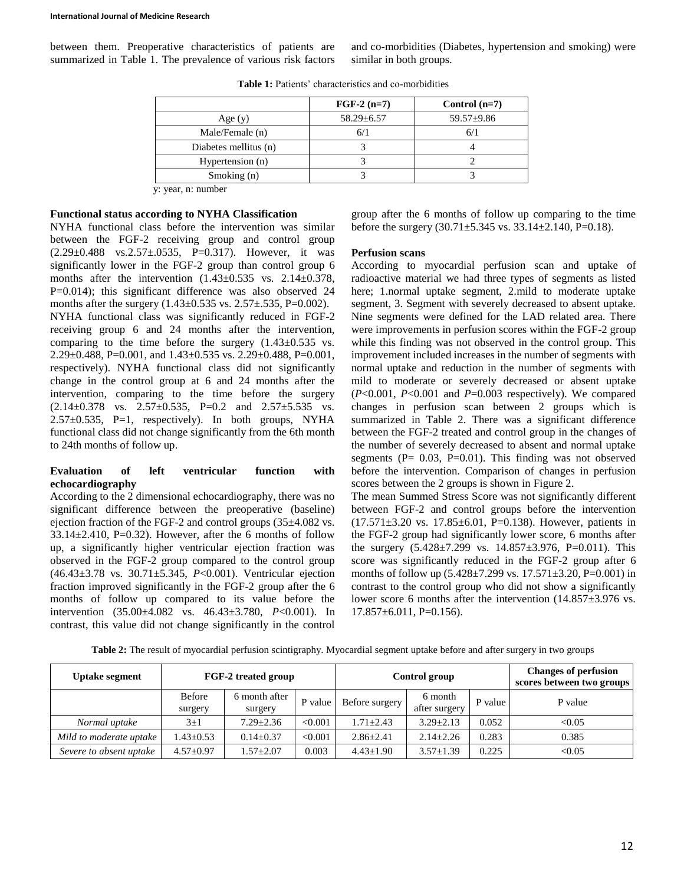between them. Preoperative characteristics of patients are summarized in Table 1. The prevalence of various risk factors and co-morbidities (Diabetes, hypertension and smoking) were similar in both groups.

|                       | $FGF-2(n=7)$     | Control $(n=7)$  |
|-----------------------|------------------|------------------|
| Age $(y)$             | $58.29 \pm 6.57$ | $59.57 \pm 9.86$ |
| Male/Female (n)       |                  |                  |
| Diabetes mellitus (n) |                  |                  |
| Hypertension (n)      |                  |                  |
| Smoking $(n)$         |                  |                  |

**Table 1:** Patients' characteristics and co-morbidities

y: year, n: number

#### **Functional status according to NYHA Classification**

NYHA functional class before the intervention was similar between the FGF-2 receiving group and control group  $(2.29 \pm 0.488 \text{ vs. } 2.57 \pm 0.0535, \text{ P=0.317}).$  However, it was significantly lower in the FGF-2 group than control group 6 months after the intervention  $(1.43\pm0.535 \text{ vs. } 2.14\pm0.378)$ , P=0.014); this significant difference was also observed 24 months after the surgery  $(1.43\pm 0.535 \text{ vs. } 2.57\pm 0.535, \text{ P} = 0.002)$ . NYHA functional class was significantly reduced in FGF-2 receiving group 6 and 24 months after the intervention, comparing to the time before the surgery  $(1.43\pm0.535 \text{ vs.}$ 2.29±0.488, P=0.001, and 1.43±0.535 vs. 2.29±0.488, P=0.001, respectively). NYHA functional class did not significantly change in the control group at 6 and 24 months after the intervention, comparing to the time before the surgery  $(2.14\pm0.378$  vs.  $2.57\pm0.535$ , P=0.2 and  $2.57\pm5.535$  vs. 2.57±0.535, P=1, respectively). In both groups, NYHA functional class did not change significantly from the 6th month to 24th months of follow up.

#### **Evaluation of left ventricular function with echocardiography**

According to the 2 dimensional echocardiography, there was no significant difference between the preoperative (baseline) ejection fraction of the FGF-2 and control groups (35±4.082 vs.  $33.14 \pm 2.410$ , P=0.32). However, after the 6 months of follow up, a significantly higher ventricular ejection fraction was observed in the FGF-2 group compared to the control group (46.43±3.78 vs. 30.71±5.345, *P*<0.001). Ventricular ejection fraction improved significantly in the FGF-2 group after the 6 months of follow up compared to its value before the intervention (35.00±4.082 vs. 46.43±3.780, *P*<0.001). In contrast, this value did not change significantly in the control

group after the 6 months of follow up comparing to the time before the surgery  $(30.71 \pm 5.345 \text{ vs. } 33.14 \pm 2.140, \text{ P} = 0.18)$ .

#### **Perfusion scans**

According to myocardial perfusion scan and uptake of radioactive material we had three types of segments as listed here; 1.normal uptake segment, 2.mild to moderate uptake segment, 3. Segment with severely decreased to absent uptake. Nine segments were defined for the LAD related area. There were improvements in perfusion scores within the FGF-2 group while this finding was not observed in the control group. This improvement included increases in the number of segments with normal uptake and reduction in the number of segments with mild to moderate or severely decreased or absent uptake (*P*<0.001, *P*<0.001 and *P*=0.003 respectively). We compared changes in perfusion scan between 2 groups which is summarized in Table 2. There was a significant difference between the FGF-2 treated and control group in the changes of the number of severely decreased to absent and normal uptake segments ( $P = 0.03$ ,  $P = 0.01$ ). This finding was not observed before the intervention. Comparison of changes in perfusion scores between the 2 groups is shown in Figure 2.

The mean Summed Stress Score was not significantly different between FGF-2 and control groups before the intervention (17.571±3.20 vs. 17.85±6.01, P=0.138). However, patients in the FGF-2 group had significantly lower score, 6 months after the surgery  $(5.428 \pm 7.299 \text{ vs. } 14.857 \pm 3.976, \text{ P} = 0.011)$ . This score was significantly reduced in the FGF-2 group after 6 months of follow up  $(5.428 \pm 7.299 \text{ vs. } 17.571 \pm 3.20, P = 0.001)$  in contrast to the control group who did not show a significantly lower score 6 months after the intervention (14.857±3.976 vs.  $17.857\pm6.011$ , P=0.156).

|  | Table 2: The result of myocardial perfusion scintigraphy. Myocardial segment uptake before and after surgery in two groups |
|--|----------------------------------------------------------------------------------------------------------------------------|
|  |                                                                                                                            |

| <b>Uptake segment</b>   | FGF-2 treated group |                          | Control group |                 |                          | <b>Changes of perfusion</b><br>scores between two groups |         |
|-------------------------|---------------------|--------------------------|---------------|-----------------|--------------------------|----------------------------------------------------------|---------|
|                         | Before<br>surgery   | 6 month after<br>surgery | P value       | Before surgery  | 6 month<br>after surgery | P value                                                  | P value |
| Normal uptake           | $3\pm1$             | $7.29 \pm 2.36$          | < 0.001       | $1.71 + 2.43$   | $3.29 \pm 2.13$          | 0.052                                                    | < 0.05  |
| Mild to moderate uptake | $.43 \pm 0.53$      | $0.14 \pm 0.37$          | < 0.001       | $2.86 + 2.41$   | $2.14 \pm 2.26$          | 0.283                                                    | 0.385   |
| Severe to absent uptake | $4.57 \pm 0.97$     | $1.57 + 2.07$            | 0.003         | $4.43 \pm 1.90$ | $3.57 \pm 1.39$          | 0.225                                                    | < 0.05  |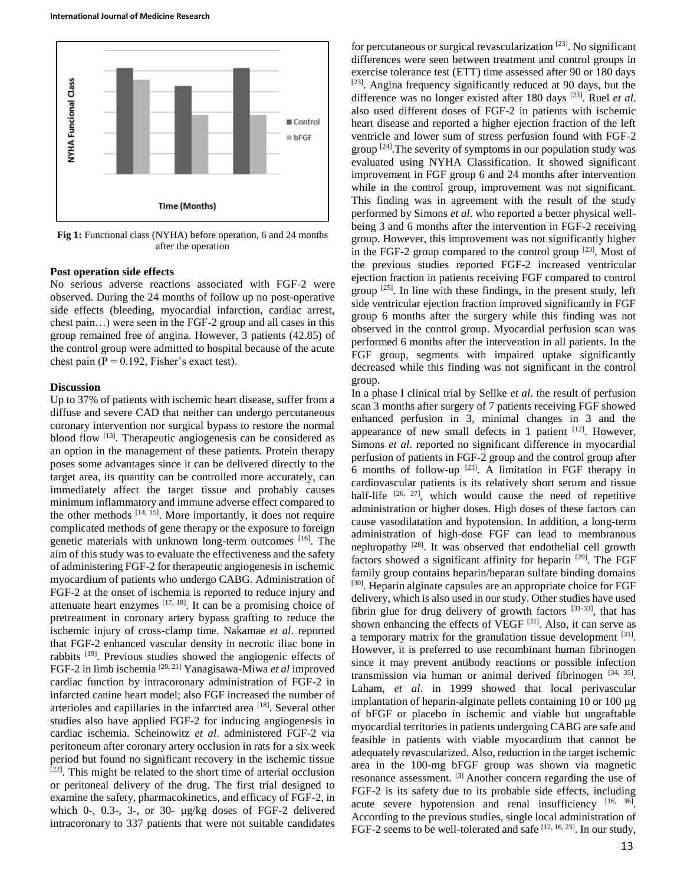

**Fig 1:** Functional class (NYHA) before operation, 6 and 24 months after the operation

#### **Post operation side effects**

No serious adverse reactions associated with FGF-2 were observed. During the 24 months of follow up no post-operative side effects (bleeding, myocardial infarction, cardiac arrest, chest pain…) were seen in the FGF-2 group and all cases in this group remained free of angina. However, 3 patients (42.85) of the control group were admitted to hospital because of the acute chest pain ( $P = 0.192$ , Fisher's exact test).

#### **Discussion**

Up to 37% of patients with ischemic heart disease, suffer from a diffuse and severe CAD that neither can undergo percutaneous coronary intervention nor surgical bypass to restore the normal blood flow <sup>[13]</sup>. Therapeutic angiogenesis can be considered as an option in the management of these patients. Protein therapy poses some advantages since it can be delivered directly to the target area, its quantity can be controlled more accurately, can immediately affect the target tissue and probably causes minimum inflammatory and immune adverse effect compared to the other methods  $[14, 15]$ . More importantly, it does not require complicated methods of gene therapy or the exposure to foreign genetic materials with unknown long-term outcomes [16]. The aim of this study was to evaluate the effectiveness and the safety of administering FGF-2 for therapeutic angiogenesis in ischemic myocardium of patients who undergo CABG. Administration of FGF-2 at the onset of ischemia is reported to reduce injury and attenuate heart enzymes  $[17, 18]$ . It can be a promising choice of pretreatment in coronary artery bypass grafting to reduce the ischemic injury of cross-clamp time. Nakamae *et al*. reported that FGF-2 enhanced vascular density in necrotic iliac bone in rabbits [19]. Previous studies showed the angiogenic effects of FGF-2 in limb ischemia [20, 21] Yanagisawa-Miwa *et al* improved cardiac function by intracoronary administration of FGF-2 in infarcted canine heart model; also FGF increased the number of arterioles and capillaries in the infarcted area [18]. Several other studies also have applied FGF-2 for inducing angiogenesis in cardiac ischemia. Scheinowitz *et al*. administered FGF-2 via peritoneum after coronary artery occlusion in rats for a six week period but found no significant recovery in the ischemic tissue  $[22]$ . This might be related to the short time of arterial occlusion or peritoneal delivery of the drug. The first trial designed to examine the safety, pharmacokinetics, and efficacy of FGF-2, in which 0-, 0.3-, 3-, or 30- µg/kg doses of FGF-2 delivered intracoronary to 337 patients that were not suitable candidates

for percutaneous or surgical revascularization  $[23]$ . No significant differences were seen between treatment and control groups in exercise tolerance test (ETT) time assessed after 90 or 180 days [23]. Angina frequency significantly reduced at 90 days, but the difference was no longer existed after 180 days [23]. Ruel *et al*. also used different doses of FGF-2 in patients with ischemic heart disease and reported a higher ejection fraction of the left ventricle and lower sum of stress perfusion found with FGF-2 group [24].The severity of symptoms in our population study was evaluated using NYHA Classification. It showed significant improvement in FGF group 6 and 24 months after intervention while in the control group, improvement was not significant. This finding was in agreement with the result of the study performed by Simons *et al*. who reported a better physical wellbeing 3 and 6 months after the intervention in FGF-2 receiving group. However, this improvement was not significantly higher in the FGF-2 group compared to the control group  $^{[23]}$ . Most of the previous studies reported FGF-2 increased ventricular ejection fraction in patients receiving FGF compared to control group  $[25]$ . In line with these findings, in the present study, left side ventricular ejection fraction improved significantly in FGF group 6 months after the surgery while this finding was not observed in the control group. Myocardial perfusion scan was performed 6 months after the intervention in all patients. In the FGF group, segments with impaired uptake significantly decreased while this finding was not significant in the control group.

In a phase I clinical trial by Sellke *et al*. the result of perfusion scan 3 months after surgery of 7 patients receiving FGF showed enhanced perfusion in 3, minimal changes in 3 and the appearance of new small defects in 1 patient  $[12]$ . However, Simons *et al*. reported no significant difference in myocardial perfusion of patients in FGF-2 group and the control group after 6 months of follow-up  $[23]$ . A limitation in FGF therapy in cardiovascular patients is its relatively short serum and tissue half-life  $[26, 27]$ , which would cause the need of repetitive administration or higher doses. High doses of these factors can cause vasodilatation and hypotension. In addition, a long-term administration of high-dose FGF can lead to membranous nephropathy [28]. It was observed that endothelial cell growth factors showed a significant affinity for heparin  $[29]$ . The FGF family group contains heparin/heparan sulfate binding domains [30]. Heparin alginate capsules are an appropriate choice for FGF delivery, which is also used in our study. Other studies have used fibrin glue for drug delivery of growth factors  $[31-33]$ , that has shown enhancing the effects of VEGF <sup>[31]</sup>. Also, it can serve as a temporary matrix for the granulation tissue development <sup>[31]</sup>. However, it is preferred to use recombinant human fibrinogen since it may prevent antibody reactions or possible infection transmission via human or animal derived fibrinogen  $[34, 35]$ . Laham, *et al*. in 1999 showed that local perivascular implantation of heparin-alginate pellets containing 10 or 100 µg of bFGF or placebo in ischemic and viable but ungraftable myocardial territories in patients undergoing CABG are safe and feasible in patients with viable myocardium that cannot be adequately revascularized. Also, reduction in the target ischemic area in the 100-mg bFGF group was shown via magnetic resonance assessment. [3] Another concern regarding the use of FGF-2 is its safety due to its probable side effects, including acute severe hypotension and renal insufficiency  $[16, 36]$ . According to the previous studies, single local administration of FGF-2 seems to be well-tolerated and safe [12, 16, 23]. In our study,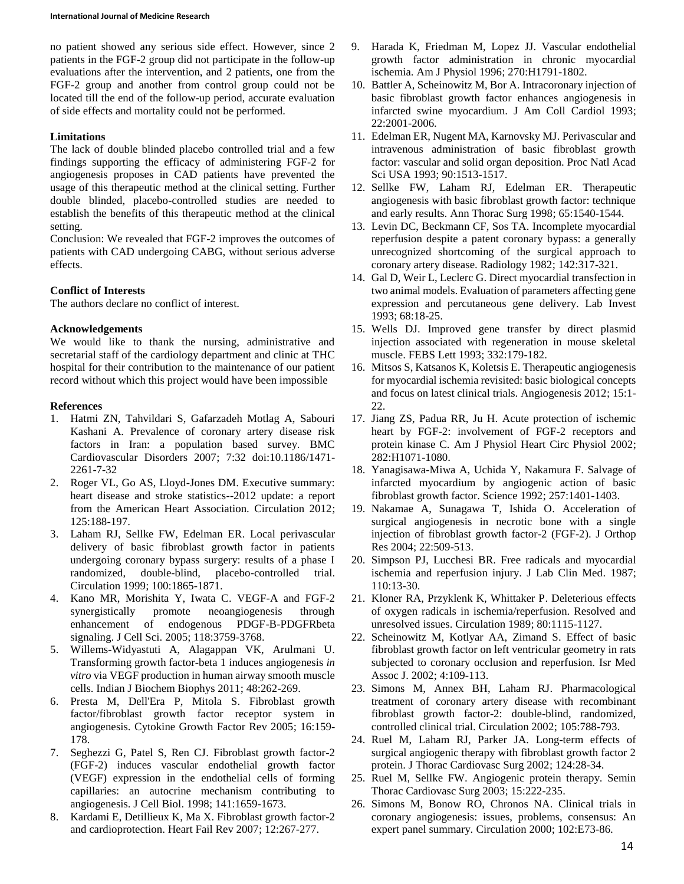no patient showed any serious side effect. However, since 2 patients in the FGF-2 group did not participate in the follow-up evaluations after the intervention, and 2 patients, one from the FGF-2 group and another from control group could not be located till the end of the follow-up period, accurate evaluation of side effects and mortality could not be performed.

## **Limitations**

The lack of double blinded placebo controlled trial and a few findings supporting the efficacy of administering FGF-2 for angiogenesis proposes in CAD patients have prevented the usage of this therapeutic method at the clinical setting. Further double blinded, placebo-controlled studies are needed to establish the benefits of this therapeutic method at the clinical setting.

Conclusion: We revealed that FGF-2 improves the outcomes of patients with CAD undergoing CABG, without serious adverse effects.

# **Conflict of Interests**

The authors declare no conflict of interest.

## **Acknowledgements**

We would like to thank the nursing, administrative and secretarial staff of the cardiology department and clinic at THC hospital for their contribution to the maintenance of our patient record without which this project would have been impossible

## **References**

- 1. Hatmi ZN, Tahvildari S, Gafarzadeh Motlag A, Sabouri Kashani A. Prevalence of coronary artery disease risk factors in Iran: a population based survey. BMC Cardiovascular Disorders 2007; 7:32 doi:10.1186/1471- 2261-7-32
- 2. Roger VL, Go AS, Lloyd-Jones DM. Executive summary: heart disease and stroke statistics--2012 update: a report from the American Heart Association. Circulation 2012; 125:188-197.
- 3. Laham RJ, Sellke FW, Edelman ER. Local perivascular delivery of basic fibroblast growth factor in patients undergoing coronary bypass surgery: results of a phase I randomized, double-blind, placebo-controlled trial. Circulation 1999; 100:1865-1871.
- 4. Kano MR, Morishita Y, Iwata C. VEGF-A and FGF-2 synergistically promote neoangiogenesis through enhancement of endogenous PDGF-B-PDGFRbeta signaling. J Cell Sci. 2005; 118:3759-3768.
- 5. Willems-Widyastuti A, Alagappan VK, Arulmani U. Transforming growth factor-beta 1 induces angiogenesis *in vitro* via VEGF production in human airway smooth muscle cells. Indian J Biochem Biophys 2011; 48:262-269.
- 6. Presta M, Dell'Era P, Mitola S. Fibroblast growth factor/fibroblast growth factor receptor system in angiogenesis. Cytokine Growth Factor Rev 2005; 16:159- 178.
- 7. Seghezzi G, Patel S, Ren CJ. Fibroblast growth factor-2 (FGF-2) induces vascular endothelial growth factor (VEGF) expression in the endothelial cells of forming capillaries: an autocrine mechanism contributing to angiogenesis. J Cell Biol. 1998; 141:1659-1673.
- 8. Kardami E, Detillieux K, Ma X. Fibroblast growth factor-2 and cardioprotection. Heart Fail Rev 2007; 12:267-277.
- 9. Harada K, Friedman M, Lopez JJ. Vascular endothelial growth factor administration in chronic myocardial ischemia. Am J Physiol 1996; 270:H1791-1802.
- 10. Battler A, Scheinowitz M, Bor A. Intracoronary injection of basic fibroblast growth factor enhances angiogenesis in infarcted swine myocardium. J Am Coll Cardiol 1993; 22:2001-2006.
- 11. Edelman ER, Nugent MA, Karnovsky MJ. Perivascular and intravenous administration of basic fibroblast growth factor: vascular and solid organ deposition. Proc Natl Acad Sci USA 1993; 90:1513-1517.
- 12. Sellke FW, Laham RJ, Edelman ER. Therapeutic angiogenesis with basic fibroblast growth factor: technique and early results. Ann Thorac Surg 1998; 65:1540-1544.
- 13. Levin DC, Beckmann CF, Sos TA. Incomplete myocardial reperfusion despite a patent coronary bypass: a generally unrecognized shortcoming of the surgical approach to coronary artery disease. Radiology 1982; 142:317-321.
- 14. Gal D, Weir L, Leclerc G. Direct myocardial transfection in two animal models. Evaluation of parameters affecting gene expression and percutaneous gene delivery. Lab Invest 1993; 68:18-25.
- 15. Wells DJ. Improved gene transfer by direct plasmid injection associated with regeneration in mouse skeletal muscle. FEBS Lett 1993; 332:179-182.
- 16. Mitsos S, Katsanos K, Koletsis E. Therapeutic angiogenesis for myocardial ischemia revisited: basic biological concepts and focus on latest clinical trials. Angiogenesis 2012; 15:1- 22.
- 17. Jiang ZS, Padua RR, Ju H. Acute protection of ischemic heart by FGF-2: involvement of FGF-2 receptors and protein kinase C. Am J Physiol Heart Circ Physiol 2002; 282:H1071-1080.
- 18. Yanagisawa-Miwa A, Uchida Y, Nakamura F. Salvage of infarcted myocardium by angiogenic action of basic fibroblast growth factor. Science 1992; 257:1401-1403.
- 19. Nakamae A, Sunagawa T, Ishida O. Acceleration of surgical angiogenesis in necrotic bone with a single injection of fibroblast growth factor-2 (FGF-2). J Orthop Res 2004; 22:509-513.
- 20. Simpson PJ, Lucchesi BR. Free radicals and myocardial ischemia and reperfusion injury. J Lab Clin Med. 1987; 110:13-30.
- 21. Kloner RA, Przyklenk K, Whittaker P. Deleterious effects of oxygen radicals in ischemia/reperfusion. Resolved and unresolved issues. Circulation 1989; 80:1115-1127.
- 22. Scheinowitz M, Kotlyar AA, Zimand S. Effect of basic fibroblast growth factor on left ventricular geometry in rats subjected to coronary occlusion and reperfusion. Isr Med Assoc J. 2002; 4:109-113.
- 23. Simons M, Annex BH, Laham RJ. Pharmacological treatment of coronary artery disease with recombinant fibroblast growth factor-2: double-blind, randomized, controlled clinical trial. Circulation 2002; 105:788-793.
- 24. Ruel M, Laham RJ, Parker JA. Long-term effects of surgical angiogenic therapy with fibroblast growth factor 2 protein. J Thorac Cardiovasc Surg 2002; 124:28-34.
- 25. Ruel M, Sellke FW. Angiogenic protein therapy. Semin Thorac Cardiovasc Surg 2003; 15:222-235.
- 26. Simons M, Bonow RO, Chronos NA. Clinical trials in coronary angiogenesis: issues, problems, consensus: An expert panel summary. Circulation 2000; 102:E73-86.